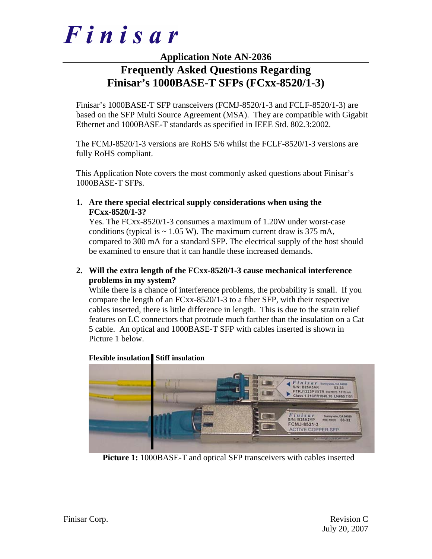

# **Application Note AN-2036**

# **Frequently Asked Questions Regarding Finisar's 1000BASE-T SFPs (FCxx-8520/1-3)**

Finisar's 1000BASE-T SFP transceivers (FCMJ-8520/1-3 and FCLF-8520/1-3) are based on the SFP Multi Source Agreement (MSA). They are compatible with Gigabit Ethernet and 1000BASE-T standards as specified in IEEE Std. 802.3:2002.

The FCMJ-8520/1-3 versions are RoHS 5/6 whilst the FCLF-8520/1-3 versions are fully RoHS compliant.

This Application Note covers the most commonly asked questions about Finisar's 1000BASE-T SFPs.

**1. Are there special electrical supply considerations when using the FCxx-8520/1-3?** 

Yes. The FCxx-8520/1-3 consumes a maximum of 1.20W under worst-case conditions (typical is  $\sim 1.05$  W). The maximum current draw is 375 mA, compared to 300 mA for a standard SFP. The electrical supply of the host should be examined to ensure that it can handle these increased demands.

# **2. Will the extra length of the FCxx-8520/1-3 cause mechanical interference problems in my system?**

While there is a chance of interference problems, the probability is small. If you compare the length of an FCxx-8520/1-3 to a fiber SFP, with their respective cables inserted, there is little difference in length. This is due to the strain relief features on LC connectors that protrude much farther than the insulation on a Cat 5 cable. An optical and 1000BASE-T SFP with cables inserted is shown in Picture 1 below.



## **Flexible insulation Stiff insulation**

**Picture 1:** 1000BASE-T and optical SFP transceivers with cables inserted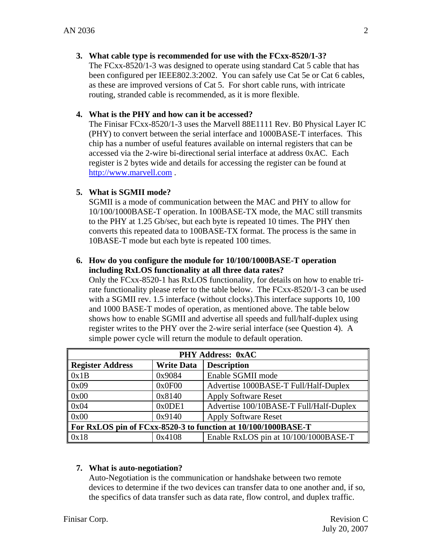# **3. What cable type is recommended for use with the FCxx-8520/1-3?**

The FCxx-8520/1-3 was designed to operate using standard Cat 5 cable that has been configured per IEEE802.3:2002. You can safely use Cat 5e or Cat 6 cables, as these are improved versions of Cat 5. For short cable runs, with intricate routing, stranded cable is recommended, as it is more flexible.

# **4. What is the PHY and how can it be accessed?**

The Finisar FCxx-8520/1-3 uses the Marvell 88E1111 Rev. B0 Physical Layer IC (PHY) to convert between the serial interface and 1000BASE-T interfaces. This chip has a number of useful features available on internal registers that can be accessed via the 2-wire bi-directional serial interface at address 0xAC. Each register is 2 bytes wide and details for accessing the register can be found at http://www.marvell.com .

# **5. What is SGMII mode?**

SGMII is a mode of communication between the MAC and PHY to allow for 10/100/1000BASE-T operation. In 100BASE-TX mode, the MAC still transmits to the PHY at 1.25 Gb/sec, but each byte is repeated 10 times. The PHY then converts this repeated data to 100BASE-TX format. The process is the same in 10BASE-T mode but each byte is repeated 100 times.

## **6. How do you configure the module for 10/100/1000BASE-T operation including RxLOS functionality at all three data rates?**

Only the FCxx-8520-1 has RxLOS functionality, for details on how to enable trirate functionality please refer to the table below. The FCxx-8520/1-3 can be used with a SGMII rev. 1.5 interface (without clocks). This interface supports 10, 100 and 1000 BASE-T modes of operation, as mentioned above. The table below shows how to enable SGMII and advertise all speeds and full/half-duplex using register writes to the PHY over the 2-wire serial interface (see Question 4). A simple power cycle will return the module to default operation.

| <b>PHY Address: 0xAC</b>                                      |                   |                                         |  |
|---------------------------------------------------------------|-------------------|-----------------------------------------|--|
| Register Address                                              | <b>Write Data</b> | <b>Description</b>                      |  |
| $\vert$ 0x1B                                                  | 0x9084            | Enable SGMII mode                       |  |
| $\vert$ 0x09                                                  | 0x0F00            | Advertise 1000BASE-T Full/Half-Duplex   |  |
| $\log 00$                                                     | 0x8140            | <b>Apply Software Reset</b>             |  |
| $\log 04$                                                     | 0x0DE1            | Advertise 100/10BASE-T Full/Half-Duplex |  |
| $\log 00$                                                     | 0x9140            | <b>Apply Software Reset</b>             |  |
| For RxLOS pin of FCxx-8520-3 to function at 10/100/1000BASE-T |                   |                                         |  |
| $\sqrt{0x18}$                                                 | 0x4108            | Enable RxLOS pin at 10/100/1000BASE-T   |  |

# **7. What is auto-negotiation?**

Auto-Negotiation is the communication or handshake between two remote devices to determine if the two devices can transfer data to one another and, if so, the specifics of data transfer such as data rate, flow control, and duplex traffic.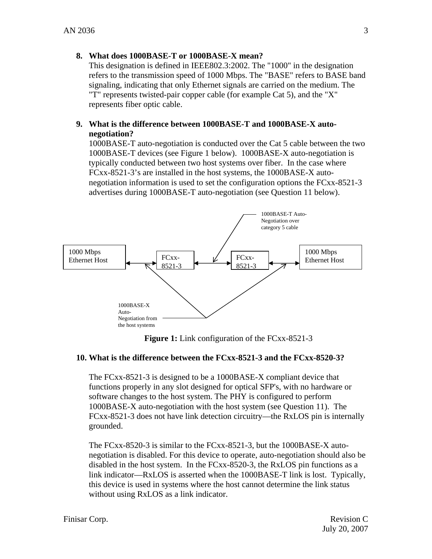# **8. What does 1000BASE-T or 1000BASE-X mean?**

This designation is defined in IEEE802.3:2002. The "1000" in the designation refers to the transmission speed of 1000 Mbps. The "BASE" refers to BASE band signaling, indicating that only Ethernet signals are carried on the medium. The "T" represents twisted-pair copper cable (for example Cat 5), and the "X" represents fiber optic cable.

# **9. What is the difference between 1000BASE-T and 1000BASE-X autonegotiation?**

1000BASE-T auto-negotiation is conducted over the Cat 5 cable between the two 1000BASE-T devices (see Figure 1 below). 1000BASE-X auto-negotiation is typically conducted between two host systems over fiber. In the case where FCxx-8521-3's are installed in the host systems, the 1000BASE-X autonegotiation information is used to set the configuration options the FCxx-8521-3 advertises during 1000BASE-T auto-negotiation (see Question 11 below).



**Figure 1:** Link configuration of the FCxx-8521-3

## **10. What is the difference between the FCxx-8521-3 and the FCxx-8520-3?**

The FCxx-8521-3 is designed to be a 1000BASE-X compliant device that functions properly in any slot designed for optical SFP's, with no hardware or software changes to the host system. The PHY is configured to perform 1000BASE-X auto-negotiation with the host system (see Question 11). The FCxx-8521-3 does not have link detection circuitry—the RxLOS pin is internally grounded.

The FCxx-8520-3 is similar to the FCxx-8521-3, but the 1000BASE-X autonegotiation is disabled. For this device to operate, auto-negotiation should also be disabled in the host system. In the FCxx-8520-3, the RxLOS pin functions as a link indicator—RxLOS is asserted when the 1000BASE-T link is lost. Typically, this device is used in systems where the host cannot determine the link status without using RxLOS as a link indicator.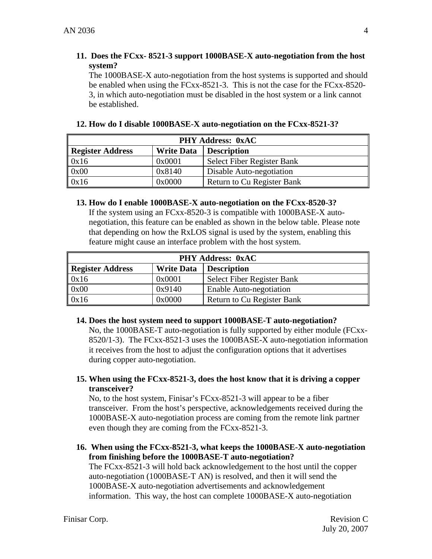# **11. Does the FCxx- 8521-3 support 1000BASE-X auto-negotiation from the host system?**

The 1000BASE-X auto-negotiation from the host systems is supported and should be enabled when using the FCxx-8521-3. This is not the case for the FCxx-8520- 3, in which auto-negotiation must be disabled in the host system or a link cannot be established.

| <b>PHY Address: 0xAC</b> |                   |                            |  |  |
|--------------------------|-------------------|----------------------------|--|--|
| Register Address         | <b>Write Data</b> | <b>Description</b>         |  |  |
| 0x16                     | 0x0001            | Select Fiber Register Bank |  |  |
| 0x00                     | 0x8140            | Disable Auto-negotiation   |  |  |
| 0x16                     | 0x0000            | Return to Cu Register Bank |  |  |

## **12. How do I disable 1000BASE-X auto-negotiation on the FCxx-8521-3?**

#### **13. How do I enable 1000BASE-X auto-negotiation on the FCxx-8520-3?**

If the system using an FCxx-8520-3 is compatible with 1000BASE-X autonegotiation, this feature can be enabled as shown in the below table. Please note that depending on how the RxLOS signal is used by the system, enabling this feature might cause an interface problem with the host system.

| <b>PHY Address: 0xAC</b> |                   |                            |  |
|--------------------------|-------------------|----------------------------|--|
| Register Address         | <b>Write Data</b> | <b>Description</b>         |  |
| 0x16                     | 0x0001            | Select Fiber Register Bank |  |
| 0x00                     | 0x9140            | Enable Auto-negotiation    |  |
| 0x16                     | 0x0000            | Return to Cu Register Bank |  |

## **14. Does the host system need to support 1000BASE-T auto-negotiation?**

No, the 1000BASE-T auto-negotiation is fully supported by either module (FCxx-8520/1-3). The FCxx-8521-3 uses the 1000BASE-X auto-negotiation information it receives from the host to adjust the configuration options that it advertises during copper auto-negotiation.

# **15. When using the FCxx-8521-3, does the host know that it is driving a copper transceiver?**

No, to the host system, Finisar's FCxx-8521-3 will appear to be a fiber transceiver. From the host's perspective, acknowledgements received during the 1000BASE-X auto-negotiation process are coming from the remote link partner even though they are coming from the FCxx-8521-3.

# **16. When using the FCxx-8521-3, what keeps the 1000BASE-X auto-negotiation from finishing before the 1000BASE-T auto-negotiation?**

The FCxx-8521-3 will hold back acknowledgement to the host until the copper auto-negotiation (1000BASE-T AN) is resolved, and then it will send the 1000BASE-X auto-negotiation advertisements and acknowledgement information. This way, the host can complete 1000BASE-X auto-negotiation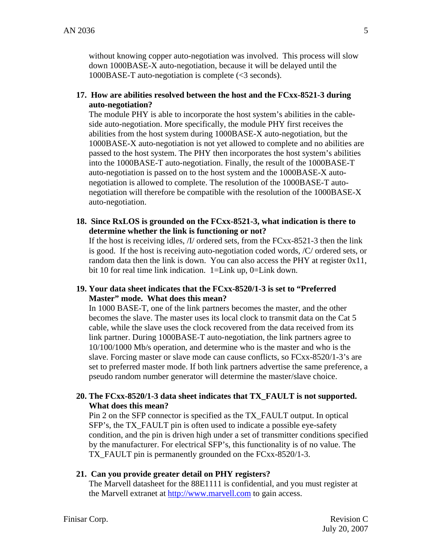without knowing copper auto-negotiation was involved. This process will slow down 1000BASE-X auto-negotiation, because it will be delayed until the 1000BASE-T auto-negotiation is complete (<3 seconds).

**17. How are abilities resolved between the host and the FCxx-8521-3 during auto-negotiation?** 

The module PHY is able to incorporate the host system's abilities in the cableside auto-negotiation. More specifically, the module PHY first receives the abilities from the host system during 1000BASE-X auto-negotiation, but the 1000BASE-X auto-negotiation is not yet allowed to complete and no abilities are passed to the host system. The PHY then incorporates the host system's abilities into the 1000BASE-T auto-negotiation. Finally, the result of the 1000BASE-T auto-negotiation is passed on to the host system and the 1000BASE-X autonegotiation is allowed to complete. The resolution of the 1000BASE-T autonegotiation will therefore be compatible with the resolution of the 1000BASE-X auto-negotiation.

**18. Since RxLOS is grounded on the FCxx-8521-3, what indication is there to determine whether the link is functioning or not?** 

If the host is receiving idles, /I/ ordered sets, from the FCxx-8521-3 then the link is good. If the host is receiving auto-negotiation coded words, /C/ ordered sets, or random data then the link is down. You can also access the PHY at register 0x11, bit 10 for real time link indication. 1=Link up, 0=Link down.

**19. Your data sheet indicates that the FCxx-8520/1-3 is set to "Preferred Master" mode. What does this mean?** 

In 1000 BASE-T, one of the link partners becomes the master, and the other becomes the slave. The master uses its local clock to transmit data on the Cat 5 cable, while the slave uses the clock recovered from the data received from its link partner. During 1000BASE-T auto-negotiation, the link partners agree to 10/100/1000 Mb/s operation, and determine who is the master and who is the slave. Forcing master or slave mode can cause conflicts, so FCxx-8520/1-3's are set to preferred master mode. If both link partners advertise the same preference, a pseudo random number generator will determine the master/slave choice.

# **20. The FCxx-8520/1-3 data sheet indicates that TX\_FAULT is not supported. What does this mean?**

Pin 2 on the SFP connector is specified as the TX\_FAULT output. In optical SFP's, the TX\_FAULT pin is often used to indicate a possible eye-safety condition, and the pin is driven high under a set of transmitter conditions specified by the manufacturer. For electrical SFP's, this functionality is of no value. The TX FAULT pin is permanently grounded on the FCxx-8520/1-3.

## **21. Can you provide greater detail on PHY registers?**

The Marvell datasheet for the 88E1111 is confidential, and you must register at the Marvell extranet at http://www.marvell.com to gain access.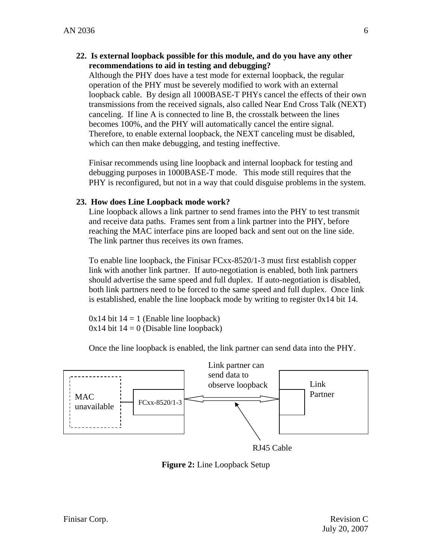**22. Is external loopback possible for this module, and do you have any other recommendations to aid in testing and debugging?** 

Although the PHY does have a test mode for external loopback, the regular operation of the PHY must be severely modified to work with an external loopback cable. By design all 1000BASE-T PHYs cancel the effects of their own transmissions from the received signals, also called Near End Cross Talk (NEXT) canceling. If line A is connected to line B, the crosstalk between the lines becomes 100%, and the PHY will automatically cancel the entire signal. Therefore, to enable external loopback, the NEXT canceling must be disabled, which can then make debugging, and testing ineffective.

Finisar recommends using line loopback and internal loopback for testing and debugging purposes in 1000BASE-T mode. This mode still requires that the PHY is reconfigured, but not in a way that could disguise problems in the system.

## **23. How does Line Loopback mode work?**

Line loopback allows a link partner to send frames into the PHY to test transmit and receive data paths. Frames sent from a link partner into the PHY, before reaching the MAC interface pins are looped back and sent out on the line side. The link partner thus receives its own frames.

To enable line loopback, the Finisar FCxx-8520/1-3 must first establish copper link with another link partner. If auto-negotiation is enabled, both link partners should advertise the same speed and full duplex. If auto-negotiation is disabled, both link partners need to be forced to the same speed and full duplex. Once link is established, enable the line loopback mode by writing to register 0x14 bit 14.

 $0x14$  bit  $14 = 1$  (Enable line loopback)  $0x14$  bit  $14 = 0$  (Disable line loopback)

Once the line loopback is enabled, the link partner can send data into the PHY.



RJ45 Cable

**Figure 2:** Line Loopback Setup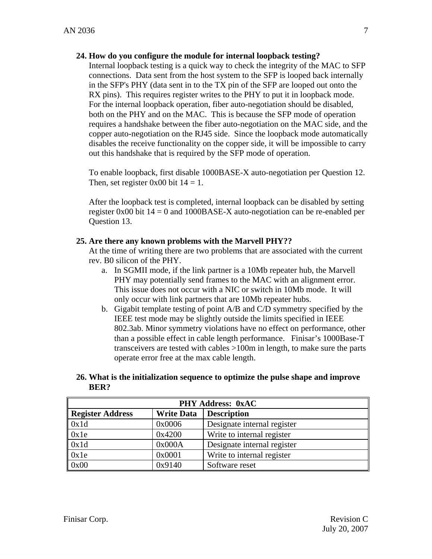# **24. How do you configure the module for internal loopback testing?**

Internal loopback testing is a quick way to check the integrity of the MAC to SFP connections. Data sent from the host system to the SFP is looped back internally in the SFP's PHY (data sent in to the TX pin of the SFP are looped out onto the RX pins). This requires register writes to the PHY to put it in loopback mode. For the internal loopback operation, fiber auto-negotiation should be disabled, both on the PHY and on the MAC. This is because the SFP mode of operation requires a handshake between the fiber auto-negotiation on the MAC side, and the copper auto-negotiation on the RJ45 side. Since the loopback mode automatically disables the receive functionality on the copper side, it will be impossible to carry out this handshake that is required by the SFP mode of operation.

To enable loopback, first disable 1000BASE-X auto-negotiation per Question 12. Then, set register 0x00 bit  $14 = 1$ .

After the loopback test is completed, internal loopback can be disabled by setting register 0x00 bit  $14 = 0$  and 1000BASE-X auto-negotiation can be re-enabled per Question 13.

# **25. Are there any known problems with the Marvell PHY??**

At the time of writing there are two problems that are associated with the current rev. B0 silicon of the PHY.

- a. In SGMII mode, if the link partner is a 10Mb repeater hub, the Marvell PHY may potentially send frames to the MAC with an alignment error. This issue does not occur with a NIC or switch in 10Mb mode. It will only occur with link partners that are 10Mb repeater hubs.
- b. Gigabit template testing of point A/B and C/D symmetry specified by the IEEE test mode may be slightly outside the limits specified in IEEE 802.3ab. Minor symmetry violations have no effect on performance, other than a possible effect in cable length performance. Finisar's 1000Base-T transceivers are tested with cables >100m in length, to make sure the parts operate error free at the max cable length.

## **26. What is the initialization sequence to optimize the pulse shape and improve BER?**

| <b>PHY Address: 0xAC</b> |                   |                             |  |  |
|--------------------------|-------------------|-----------------------------|--|--|
| <b>Register Address</b>  | <b>Write Data</b> | <b>Description</b>          |  |  |
| 0x1d                     | 0x0006            | Designate internal register |  |  |
| 0x1e                     | 0x4200            | Write to internal register  |  |  |
| 0x1d                     | 0x000A            | Designate internal register |  |  |
| 0x1e                     | 0x0001            | Write to internal register  |  |  |
| 0x00                     | 0x9140            | Software reset              |  |  |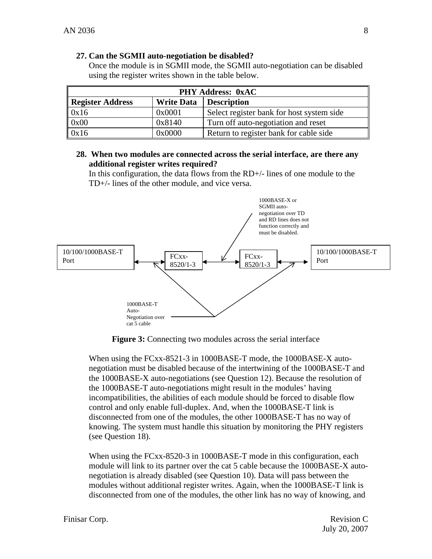## **27. Can the SGMII auto-negotiation be disabled?**

Once the module is in SGMII mode, the SGMII auto-negotiation can be disabled using the register writes shown in the table below.

| <b>PHY Address: 0xAC</b> |                   |                                           |  |
|--------------------------|-------------------|-------------------------------------------|--|
| Register Address         | <b>Write Data</b> | <b>Description</b>                        |  |
| $\vert$ 0x16             | 0x0001            | Select register bank for host system side |  |
| $\vert$ 0x00             | 0x8140            | Turn off auto-negotiation and reset       |  |
| $\vert$ 0x16             | 0x0000            | Return to register bank for cable side    |  |

## **28. When two modules are connected across the serial interface, are there any additional register writes required?**

In this configuration, the data flows from the RD+/- lines of one module to the TD+/- lines of the other module, and vice versa.



**Figure 3:** Connecting two modules across the serial interface

When using the FCxx-8521-3 in 1000BASE-T mode, the 1000BASE-X autonegotiation must be disabled because of the intertwining of the 1000BASE-T and the 1000BASE-X auto-negotiations (see Question 12). Because the resolution of the 1000BASE-T auto-negotiations might result in the modules' having incompatibilities, the abilities of each module should be forced to disable flow control and only enable full-duplex. And, when the 1000BASE-T link is disconnected from one of the modules, the other 1000BASE-T has no way of knowing. The system must handle this situation by monitoring the PHY registers (see Question 18).

When using the FCxx-8520-3 in 1000BASE-T mode in this configuration, each module will link to its partner over the cat 5 cable because the 1000BASE-X autonegotiation is already disabled (see Question 10). Data will pass between the modules without additional register writes. Again, when the 1000BASE-T link is disconnected from one of the modules, the other link has no way of knowing, and